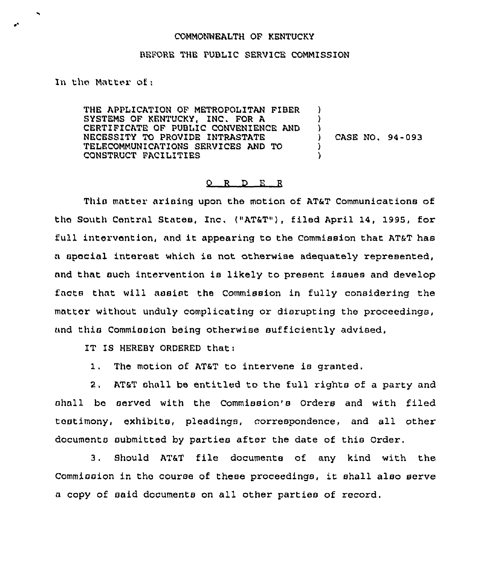## COMMONNEALTH OF KENTUCKY

## BEFORE THE PUBLIC SERVICE COMMISSION

In the Matter of;

THE APPLICATION OF METROPOLITAN FIBER SYSTEMS QF KENTUCKY, INC. FOR A CERTIFICATE OF PUBLIC CONVENIENCE AND NECESSITY TO PROVIDE INTRASTATE TELFCOMMUNICATIONS SERVICES AND TO CONSTRUCT FACILITIES ) ) )<br>)  $\lambda$ )

) CASE NO. 94-093

## 0 R D E <sup>R</sup>

This matter arising upon the motion of AT&T Communications of the South Central States, Inc, ("AT&T"), filed April 14, 1995, for full intervention, and it appearing to the Commission that AT&T has a special interest which is not otherwiee adequately represented, and that such intervention is likely to present issues and develop facts that will assist the Commission in fully considering the mattor without unduly complicating or disrupting the proceedings, and this Commission being otherwise sufficiently advised,

IT IS HEREBY ORDERED that:

1. The motion of AT&T to intervene is granted.

2, AT&T shall be entitled to the full rights of a party and shall be served with the Commission's Orders and with filed testimony, exhibits, pleadings, correspondence, and all other documents submitted by parties after the date of this Order.

3. Should AT&T file documents of any kind with the Commission in the course of these proceedings, it shall also serve a copy of said documents on all other parties of record.